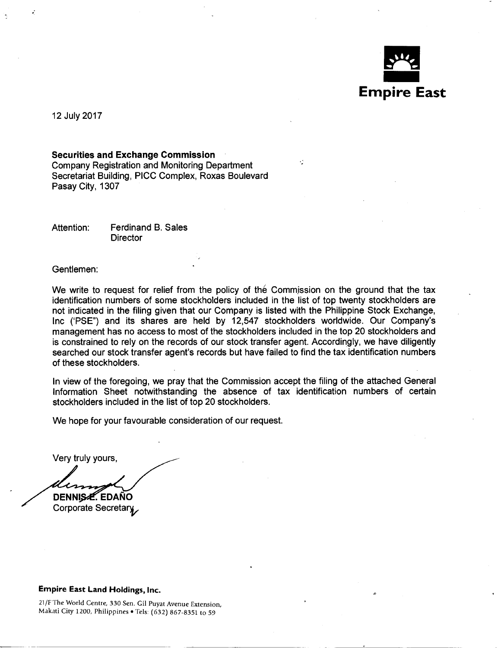

12 July 2017

### Securities and Exchange Commission

Company Registration and Monitoring Department Secretariat Building, PICC Complex, Roxas Boulevard Pasay City, 1307

Attention: Ferdinand B. Sales **Director** 

Gentlemen:

We write to request for relief from the policy of the Commission on the ground that the tax identification numbers of some stockholders included in the list of top twenty stockholders are not indicated in the filing given that our Company is listed with the Philippine Stock Exchange, Inc ('PSE") and its shares are held by 12,547 stockholders worldwide. Our Company's management has no access to most of the stockholders included in the top 20 stockholders and is constrained to rely on the records of our stock transfer agent. Accordingly, we have diligently searched our stock transfer agent's records but have failed to find the tax identification numbers of these stockholders.

ן

In view of the foregoing, we pray that the Commission accept the filing of the attached General Information Sheet notwithstanding the absence of tax identification numbers of certain stockholders included in the list of top 20 stockholders.

We hope for your favourable consideration of our request.

Very truly yours,

DENNISZ, EDAÑO Corporate Secretary

### Empire East Land Holdings, Inc.

---- -- -~----------

21 /F The World Centre, 330 Sen. Gil Puyat Avenue Extension, Makati City 1200, Philippines • Tels: (632) 867-8351 to 59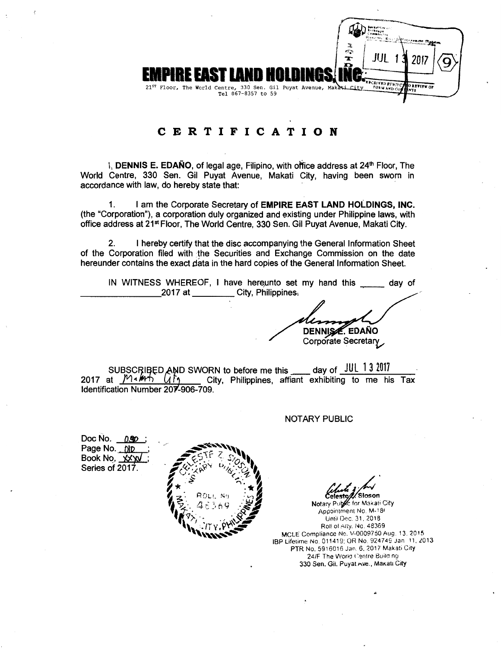

# **CERTIFICATION**

I, **DENNIS E. EDANO**, of legal age, Filipino, with office address at 24<sup>th</sup> Floor, The World Centre, 330 Sen. Gil Puyat Avenue, Makati City, having been sworn in accordance with law, do hereby state that:

1. I am the Corporate Secretary of **EMPIRE EAST LAND HOLDINGS, INC.**  (the "Corporation"), a corporation duly organized and existing under Philippine laws, with office address at 21<sup>st</sup> Floor, The World Centre, 330 Sen. Gil Puyat Avenue, Makati City.

2. I hereby certify that the disc accompanying the General Information Sheet of the Corporation filed with the Securities and Exchange Commission on the date hereunder contains the exact data in the hard copies of the General Information Sheet.

IN WITNESS WHEREOF, I have hereunto set my hand this \_\_\_\_\_\_ day of  $\sim$  2017 at \_\_\_\_\_\_ City, Philippines.

**DENNISA. EDAÑO** Corporate Secretary

SUBSCRIBED AND SWORN to before me this  $\frac{10}{2017}$  day of  $\frac{101}{13}$   $\frac{2017}{2017}$  at  $\frac{101}{117}$   $\frac{101}{117}$  City. Philippines, affiant exhibiting to me his City, Philippines, affiant exhibiting to me his Tax Identification Number 207-906-709.

NOTARY PUBLIC

Doc No. 0.50 Page No. blp Book No. **...** *yxy* Series of 2017.



Celeste/Z/Sloson

Notary Public for Makati City Appointment No. M-181 Until Dec. 31, 2018 Roll of Aity. No. 48369 MCLE Compliance No. V-0009750Aug. 13.2015 IBP Lifetime No. 011419; OR No. 924749 Jan 11, 2013 PTR No. 5916016 Jan. 6. 2017 Makati City 24/F The World Centre Build ng 330 Sen. Git. Puyat Ave., Makatı City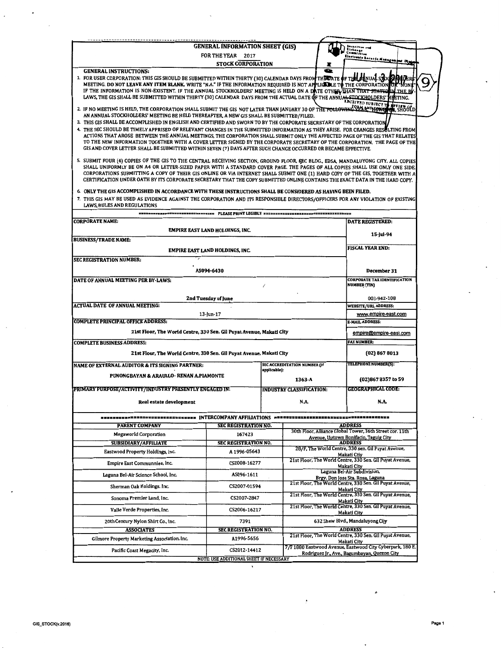|                                                                                                                                                                                                                                                                                                                                                                                                                                                                                                                                                                                                                                                                                                                                                                                                                                                                          | <b>GENERAL INFORMATION SHEET (GIS)</b>         |              |                                     |                                                                                                           |
|--------------------------------------------------------------------------------------------------------------------------------------------------------------------------------------------------------------------------------------------------------------------------------------------------------------------------------------------------------------------------------------------------------------------------------------------------------------------------------------------------------------------------------------------------------------------------------------------------------------------------------------------------------------------------------------------------------------------------------------------------------------------------------------------------------------------------------------------------------------------------|------------------------------------------------|--------------|-------------------------------------|-----------------------------------------------------------------------------------------------------------|
|                                                                                                                                                                                                                                                                                                                                                                                                                                                                                                                                                                                                                                                                                                                                                                                                                                                                          | FOR THE YEAR 2017                              |              |                                     | bosnettsma<br>Etchanga<br>Commission                                                                      |
|                                                                                                                                                                                                                                                                                                                                                                                                                                                                                                                                                                                                                                                                                                                                                                                                                                                                          | <b>STOCK CORPORATION</b>                       |              |                                     | Riestronie Becords Manuger                                                                                |
| <b>GENERAL INSTRUCTIONS:</b><br>1. FOR USER CORPORATION: THIS GIS SHOULD BE SUBMITTED WITHIN THIRTY (30) CALENDAR DAYS FROM THE DATE OF THE SUMUAL STOCK<br>MEETING. DO NOT LEAVE ANY ITEM BLANK. WRITE "N.A." IF THE INFORMATION REQUIRED IS NOT APPLICADLE TO THE CORPORATION<br>IF THE INFORMATION IS NON-EXISTENT. IF THE ANNUAL STOCKHOLDERS' MEETING IS HELD ON A DATE OTHER THAT THAT STATED UN<br>LAWS. THE GIS SHALL BE SUBMITTED WITHIN THIRTY (30) CALENDAR  DAYS FROM THE ACTUAL DATE OF THE ANNU <del>AL STOCKH</del> OLDERS' MEETING.                                                                                                                                                                                                                                                                                                                      |                                                |              | $\bullet$                           | <b>ABCRIVED SUBJECT T</b>                                                                                 |
| 2. IF NO MEETING IS HELD, THE CORPORATION SHALL SUBMIT THE GIS NOT LATER THAN JANUARY 30 OF THE FOLLOWING THE POLYTRON THE SIGN OLD<br>AN ANNUAL STOCKHOLDERS' MEETING BE HELD THEREAFTER, A NEW GIS SHALL BE SUBMITTED/FILED.<br>3. THIS GIS SHALL BE ACCOMPLISHED IN ENGLISH AND CERTIFIED AND SWORN TO BY THE CORPORATE SECRETARY OF THE CORPORATION<br>4. THE SEC SHOULD BE TIMELY APPRISED OF RELEVANT CHANGES IN THE SUBMITTED INFORMATION AS THEY ARISE. FOR CHANGES RESOLTING FROM<br>ACTIONS THAT AROSE  BETWEEN THE ANNUAL MEETINGS, THE CORPORATION SHALL SUBMIT ONLY THE AFFECTED PAGE OF THE GIS THAT RELATES<br>TO THE NEW INFORMATION TOGETHER WITH A COVER LETTER SIGNED BY THE CORPORATE SECRETARY OF THE CORPORATION. THE PAGE OF THE<br>GIS AND COVER LETTER SHALL BE SUBMITTED WITHIN SEVEN (7) DAYS AFTER SUCH CHANGE OCCURRED OR BECAME EFFECTIVE. |                                                |              |                                     |                                                                                                           |
| 5. SUBMIT FOUR (4) COPIES OF THE GIS TO THE CENTRAL RECEIVING SECTION, GROUND FLOOR, SEC BLDG., EDSA, MANDALUYONG CITY. ALL COPIES<br>SHALL UNIFORMLY BE ON A4 OR LETTER-SIZED PAPER WITH A STANDARD COVER PAGE. THE PAGES OF ALL COPIES SHALL USE ONLY ONE SIDE.<br>CORPORATIONS SUBMITTING A COPY OF THEIR GIS ONLINE OR VIA INTERNET SHALL SUBMIT ONE (1) HARD COPY OF THE GIS, TOGETHER WITH A<br>CERTIFICATION UNDER OATH BY ITS CORPORATE SECRETARY THAT THE COPY SUBMITTED ONLINE CONTAINS THE EXACT DATA IN THE HARD COPY.                                                                                                                                                                                                                                                                                                                                       |                                                |              |                                     |                                                                                                           |
| 6. ONLY THE GIS ACCOMPLISHED IN ACCORDANCE WITH THESE INSTRUCTIONS SHALL BE CONSIDERED AS HAVING BEEN FILED.<br>7. THIS GIS MAY BE USED AS EVIDENCE AGAINST THE CORPORATION AND ITS RESPONSIBLE DIRECTORS/OFFICERS FOR ANY VIOLATION OF EXISTING<br><b>LAWS. RULES AND REGULATIONS</b>                                                                                                                                                                                                                                                                                                                                                                                                                                                                                                                                                                                   |                                                |              |                                     |                                                                                                           |
| <b>CORPORATE NAME:</b>                                                                                                                                                                                                                                                                                                                                                                                                                                                                                                                                                                                                                                                                                                                                                                                                                                                   | <b>NONEXANDERED PLEASE PRINT LEGIBLY NARAH</b> |              |                                     | <b>DATE REGISTERED:</b>                                                                                   |
|                                                                                                                                                                                                                                                                                                                                                                                                                                                                                                                                                                                                                                                                                                                                                                                                                                                                          | EMPIRE EAST LAND HOLDINGS, INC.                |              |                                     |                                                                                                           |
| <b>BUSINESS/TRADE NAME:</b>                                                                                                                                                                                                                                                                                                                                                                                                                                                                                                                                                                                                                                                                                                                                                                                                                                              |                                                |              |                                     | 15-Jul-94                                                                                                 |
| EMPIRE EAST LAND HOLDINGS, INC.                                                                                                                                                                                                                                                                                                                                                                                                                                                                                                                                                                                                                                                                                                                                                                                                                                          | <b>FISCAL YEAR END:</b>                        |              |                                     |                                                                                                           |
| <b>SEC REGISTRATION NUMBER:</b>                                                                                                                                                                                                                                                                                                                                                                                                                                                                                                                                                                                                                                                                                                                                                                                                                                          |                                                |              |                                     |                                                                                                           |
|                                                                                                                                                                                                                                                                                                                                                                                                                                                                                                                                                                                                                                                                                                                                                                                                                                                                          | AS094-6430                                     |              |                                     | December 31<br><b>CORPORATE TAX IDENTIFICATION</b>                                                        |
| DATE OF ANNUAL MEETING PER BY-LAWS:                                                                                                                                                                                                                                                                                                                                                                                                                                                                                                                                                                                                                                                                                                                                                                                                                                      |                                                |              |                                     | <b>NUMBER (TIN)</b>                                                                                       |
|                                                                                                                                                                                                                                                                                                                                                                                                                                                                                                                                                                                                                                                                                                                                                                                                                                                                          | 2nd Tuesday of June                            |              |                                     | 003-942-108                                                                                               |
| <b>ACTUAL DATE OF ANNUAL MEETING:</b>                                                                                                                                                                                                                                                                                                                                                                                                                                                                                                                                                                                                                                                                                                                                                                                                                                    |                                                |              |                                     | <b>WEBSITE/URL ADDRESS:</b>                                                                               |
| <b>COMPLETE PRINCIPAL OFFICE ADDRESS:</b>                                                                                                                                                                                                                                                                                                                                                                                                                                                                                                                                                                                                                                                                                                                                                                                                                                | $13$ -Jun-17                                   |              |                                     | www.empire-east.com<br><b>E-MAIL ADDRESS:</b>                                                             |
| 21st Floor, The World Centre, 330 Sen. Gil Puyat Avenue, Makati City                                                                                                                                                                                                                                                                                                                                                                                                                                                                                                                                                                                                                                                                                                                                                                                                     |                                                |              |                                     | empire@empire-east.com                                                                                    |
| <b>COMPLETE BUSINESS ADDRESS:</b>                                                                                                                                                                                                                                                                                                                                                                                                                                                                                                                                                                                                                                                                                                                                                                                                                                        |                                                |              |                                     | <b>FAX NUMBER:</b>                                                                                        |
| 21st Floor, The World Centre, 330 Sen. Gil Puyat Avenue, Makati City                                                                                                                                                                                                                                                                                                                                                                                                                                                                                                                                                                                                                                                                                                                                                                                                     |                                                |              |                                     | (02) 867 8013                                                                                             |
| <b>NAME OF EXTERNAL AUDITOR &amp; ITS SIGNING PARTNER:</b>                                                                                                                                                                                                                                                                                                                                                                                                                                                                                                                                                                                                                                                                                                                                                                                                               |                                                | applicable]: | <b>SEC ACCREDITATION NUMBER (If</b> | TELEPHONE NUMBER(S):                                                                                      |
| PUNONGBAYAN & ARAULLO- RENAN A.PIAMONTE                                                                                                                                                                                                                                                                                                                                                                                                                                                                                                                                                                                                                                                                                                                                                                                                                                  |                                                |              | 1363-A                              | (02)867 8357 to 59                                                                                        |
| PRIMARY PURPOSE/ACTIVITY/INDUSTRY PRESENTLY ENGAGED IN:                                                                                                                                                                                                                                                                                                                                                                                                                                                                                                                                                                                                                                                                                                                                                                                                                  |                                                |              | <b>INDUSTRY CLASSIFICATION:</b>     | GEOGRAPHICAL CODE:                                                                                        |
| Real estate development                                                                                                                                                                                                                                                                                                                                                                                                                                                                                                                                                                                                                                                                                                                                                                                                                                                  |                                                |              | N.A.                                | N.A.                                                                                                      |
|                                                                                                                                                                                                                                                                                                                                                                                                                                                                                                                                                                                                                                                                                                                                                                                                                                                                          |                                                |              |                                     |                                                                                                           |
| <b>PARENT COMPANY</b>                                                                                                                                                                                                                                                                                                                                                                                                                                                                                                                                                                                                                                                                                                                                                                                                                                                    | SEC REGISTRATION NO.                           |              |                                     | <b>ADDRESS</b><br>30th Floor, Alliance Global Tower, 36th Street cor. 11th                                |
| <b>Megaworld Corporation</b>                                                                                                                                                                                                                                                                                                                                                                                                                                                                                                                                                                                                                                                                                                                                                                                                                                             | 167423                                         |              |                                     | Avenue, Uptown Bonifacio, Taguig City                                                                     |
| <b>SUBSIDIARY/AFFILIATE</b>                                                                                                                                                                                                                                                                                                                                                                                                                                                                                                                                                                                                                                                                                                                                                                                                                                              | <b>SEC REGISTRATION NO.</b><br>A 1996-05643    |              |                                     | <b>ADDRESS</b><br>28/F, The World Centre, 330 sen. Gil Puyat Avenue,                                      |
| Eastwood Property Holdings, Inc.                                                                                                                                                                                                                                                                                                                                                                                                                                                                                                                                                                                                                                                                                                                                                                                                                                         | CS2008-16277                                   |              |                                     | Makati Ctiy<br>21st Floor, The World Centre, 330 Sen. Gil Puyat Avenue,                                   |
| Empire East Communnies, Inc.                                                                                                                                                                                                                                                                                                                                                                                                                                                                                                                                                                                                                                                                                                                                                                                                                                             |                                                |              |                                     | Makati City<br>Laguna Bel-Air Subdivision,                                                                |
| Laguna Bel-Air Science School, Inc.                                                                                                                                                                                                                                                                                                                                                                                                                                                                                                                                                                                                                                                                                                                                                                                                                                      | AS096-1611                                     |              |                                     | Brgy. Don Jose Sta. Rosa, Laguna<br>21st Floor, The World Centre, 330 Sen. Gil Puyat Avenue,              |
| Sherman Oak Holdings. Inc.                                                                                                                                                                                                                                                                                                                                                                                                                                                                                                                                                                                                                                                                                                                                                                                                                                               | CS2007-01594                                   |              |                                     | Makati City<br>21st Floor, The World Centre, 330 Sen. Gil Puyat Avenue,                                   |
| Sonoma Premier Land, Inc.                                                                                                                                                                                                                                                                                                                                                                                                                                                                                                                                                                                                                                                                                                                                                                                                                                                | CS2007-2847                                    |              |                                     | Makati City<br>21st Floor, The World Centre, 330 Sen. Gil Puyat Avenue,                                   |
| Valle Verde Properties, Inc.                                                                                                                                                                                                                                                                                                                                                                                                                                                                                                                                                                                                                                                                                                                                                                                                                                             | CS2006-16217                                   |              |                                     | Makati City                                                                                               |
| 20th Century Nylon Shirt Co., Inc.<br><b>ASSOCIATES</b>                                                                                                                                                                                                                                                                                                                                                                                                                                                                                                                                                                                                                                                                                                                                                                                                                  | 7391<br><b>SEC REGISTRATION NO.</b>            |              |                                     | 632 Shaw Blvd., Mandaluyong Cijy<br><b>ADDRESS</b>                                                        |
| Gilmore Property Marketing Association. Inc.                                                                                                                                                                                                                                                                                                                                                                                                                                                                                                                                                                                                                                                                                                                                                                                                                             | A1996-5656                                     |              |                                     | 21st Floor, The World Centre, 330 Sen. Gil Puyat Avenue,<br>Makati City                                   |
| Pacific Coast Megacity, Inc.                                                                                                                                                                                                                                                                                                                                                                                                                                                                                                                                                                                                                                                                                                                                                                                                                                             | CS2012-14412                                   |              |                                     | 7/F 1880 Eastwood Avenue, Eastwood City Cyberpark, 180 E.<br>Rodriguez Jr., Ave., Bagumbayan, Quezon City |
|                                                                                                                                                                                                                                                                                                                                                                                                                                                                                                                                                                                                                                                                                                                                                                                                                                                                          | NOTE: USE ADDITIONAL SHEET IF NECESSARY        |              |                                     |                                                                                                           |

×

 $\ddot{\phantom{a}}$ 

.

 $\bar{z}$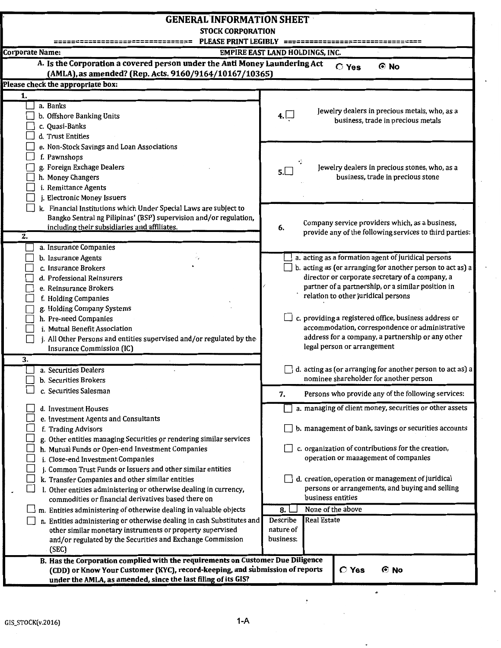| <b>GENERAL INFORMATION SHEET</b>                                                                                  |                                                                   |  |  |  |  |
|-------------------------------------------------------------------------------------------------------------------|-------------------------------------------------------------------|--|--|--|--|
| <b>STOCK CORPORATION</b>                                                                                          |                                                                   |  |  |  |  |
| PLEASE PRINT LEGIBLY ==========                                                                                   |                                                                   |  |  |  |  |
| <b>Corporate Name:</b>                                                                                            | EMPIRE EAST LAND HOLDINGS, INC.                                   |  |  |  |  |
| A. Is the Corporation a covered person under the Anti Money Laundering Act                                        | $\odot$ No<br><b>C</b> Yes                                        |  |  |  |  |
| (AMLA), as amended? (Rep. Acts. 9160/9164/10167/10365)                                                            |                                                                   |  |  |  |  |
| Please check the appropriate box:                                                                                 |                                                                   |  |  |  |  |
| 1.                                                                                                                |                                                                   |  |  |  |  |
| a. Banks                                                                                                          | Jewelry dealers in precious metals, who, as a                     |  |  |  |  |
| b. Offshore Banking Units                                                                                         | 4. $\sqcup$<br>business, trade in precious metals                 |  |  |  |  |
| c. Quasi-Banks                                                                                                    |                                                                   |  |  |  |  |
| d. Trust Entities                                                                                                 |                                                                   |  |  |  |  |
| e. Non-Stock Savings and Loan Associations                                                                        |                                                                   |  |  |  |  |
| f. Pawnshops                                                                                                      |                                                                   |  |  |  |  |
| g. Foreign Exchage Dealers                                                                                        | Jewelry dealers in precious stones, who, as a<br>5.               |  |  |  |  |
| h. Money Changers                                                                                                 | business, trade in precious stone                                 |  |  |  |  |
| i. Remittance Agents                                                                                              |                                                                   |  |  |  |  |
| j. Electronic Money Issuers                                                                                       |                                                                   |  |  |  |  |
| k. Financial Institutions which Under Special Laws are subject to                                                 |                                                                   |  |  |  |  |
| Bangko Sentral ng Pilipinas' (BSP) supervision and/or regulation,<br>including their subsidiaries and affiliates. | Company service providers which, as a business,                   |  |  |  |  |
| 2.                                                                                                                | 6.<br>provide any of the following services to third parties:     |  |  |  |  |
| a. Insurance Companies                                                                                            |                                                                   |  |  |  |  |
| b. Insurance Agents                                                                                               | a. acting as a formation agent of juridical persons               |  |  |  |  |
| c. Insurance Brokers                                                                                              | b. acting as (or arranging for another person to act as) a        |  |  |  |  |
| d. Professional Reinsurers                                                                                        | director or corporate secretary of a company, a                   |  |  |  |  |
| e. Reinsurance Brokers                                                                                            | partner of a partnership, or a similar position in                |  |  |  |  |
| f. Holding Companies                                                                                              | relation to other juridical persons                               |  |  |  |  |
| g. Holding Company Systems                                                                                        |                                                                   |  |  |  |  |
| h. Pre-need Companies                                                                                             | c. providing a registered office, business address or             |  |  |  |  |
| i. Mutual Benefit Association                                                                                     | accommodation, correspondence or administrative                   |  |  |  |  |
| j. All Other Persons and entities supervised and/or regulated by the                                              | address for a company, a partnership or any other                 |  |  |  |  |
| Insurance Commission (IC)                                                                                         | legal person or arrangement                                       |  |  |  |  |
| 3.                                                                                                                |                                                                   |  |  |  |  |
| a. Securities Dealers                                                                                             | $\Box$ d. acting as (or arranging for another person to act as) a |  |  |  |  |
| b. Securities Brokers                                                                                             | nominee shareholder for another person                            |  |  |  |  |
| c. Securities Salesman                                                                                            | Persons who provide any of the following services:<br>7.          |  |  |  |  |
|                                                                                                                   |                                                                   |  |  |  |  |
| d. Investment Houses                                                                                              | a. managing of client money, securities or other assets           |  |  |  |  |
| e. Investment Agents and Consultants                                                                              |                                                                   |  |  |  |  |
| f. Trading Advisors                                                                                               | b. management of bank, savings or securities accounts             |  |  |  |  |
| g. Other entities managing Securities or rendering similar services                                               | c. organization of contributions for the creation,                |  |  |  |  |
| h. Mutual Funds or Open-end Investment Companies                                                                  | operation or management of companies                              |  |  |  |  |
| i. Close-end Investment Companies<br>j. Common Trust Funds or Issuers and other similar entities                  |                                                                   |  |  |  |  |
| k. Transfer Companies and other similar entities                                                                  | d. creation, operation or management of juridical                 |  |  |  |  |
| l. Other entities administering or otherwise dealing in currency,                                                 | persons or arrangements, and buying and selling                   |  |  |  |  |
| commodities or financial derivatives based there on                                                               | business entities                                                 |  |  |  |  |
| m. Entities administering of otherwise dealing in valuable objects                                                | None of the above<br>8.1                                          |  |  |  |  |
| n. Entities administering or otherwise dealing in cash Substitutes and                                            | <b>Real Estate</b><br>Describe                                    |  |  |  |  |
| other similar monetary instruments or property supervised                                                         | nature of                                                         |  |  |  |  |
| and/or regulated by the Securities and Exchange Commission                                                        | business:                                                         |  |  |  |  |
| (SEC)                                                                                                             |                                                                   |  |  |  |  |
| B. Has the Corporation complied with the requirements on Customer Due Diligence                                   |                                                                   |  |  |  |  |
| (CDD) or Know Your Customer (KYC), record-keeping, and submission of reports                                      | $C$ Yes<br>ල No                                                   |  |  |  |  |
| under the AMLA, as amended, since the last filing of its GIS?                                                     |                                                                   |  |  |  |  |

 $\frac{\bullet}{\epsilon}$ 

 $\hat{\mathcal{A}}$ 

 $\ddot{\phantom{0}}$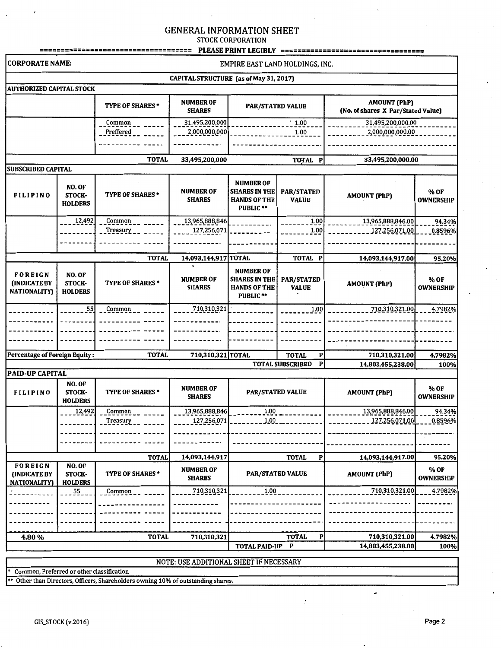# GENERAL INFORMATION SHEET

STOCK CORPORATION

| <b>CORPORATE NAME:</b><br>EMPIRE EAST LAND HOLDINGS, INC.<br>CAPITAL STRUCTURE (as of May 31, 2017)<br><b>AUTHORIZED CAPITAL STOCK</b><br><b>NUMBER OF</b><br><b>AMOUNT (PhP)</b><br><b>TYPE OF SHARES *</b><br><b>PAR/STATED VALUE</b><br>(No. of shares X Par/Stated Value)<br><b>SHARES</b><br>.1.00<br>31,495,200,000.00<br>31,495,200,000<br>Common<br>Preffered<br>1.00<br>2,000,000,000.00<br>2,000,000,000<br><b>TOTAL</b><br>33,495,200,000.00<br>33,495,200,000<br>TOTAL P<br><b>SUBSCRIBED CAPITAL</b><br><b>NUMBER OF</b><br>NO. OF<br><b>NUMBER OF</b><br>% OF<br><b>SHARES IN THE</b><br><b>PAR/STATED</b><br><b>TYPE OF SHARES*</b><br><b>STOCK-</b><br><b>AMOUNT (PhP)</b><br><b>FILIPINO</b><br><b>VALUE</b><br><b>OWNERSHIP</b><br><b>SHARES</b><br><b>HANDS OF THE</b><br><b>HOLDERS</b><br><b>PUBLIC **</b><br>13,965,888,846<br>13,965,888,846.00<br>12,492<br>Common<br>1.00<br>1.00<br>Treasury<br>127,256,071<br>127,256,071.00 | 94.34%<br>0.8596%        |
|---------------------------------------------------------------------------------------------------------------------------------------------------------------------------------------------------------------------------------------------------------------------------------------------------------------------------------------------------------------------------------------------------------------------------------------------------------------------------------------------------------------------------------------------------------------------------------------------------------------------------------------------------------------------------------------------------------------------------------------------------------------------------------------------------------------------------------------------------------------------------------------------------------------------------------------------------------|--------------------------|
|                                                                                                                                                                                                                                                                                                                                                                                                                                                                                                                                                                                                                                                                                                                                                                                                                                                                                                                                                         |                          |
|                                                                                                                                                                                                                                                                                                                                                                                                                                                                                                                                                                                                                                                                                                                                                                                                                                                                                                                                                         |                          |
|                                                                                                                                                                                                                                                                                                                                                                                                                                                                                                                                                                                                                                                                                                                                                                                                                                                                                                                                                         |                          |
|                                                                                                                                                                                                                                                                                                                                                                                                                                                                                                                                                                                                                                                                                                                                                                                                                                                                                                                                                         |                          |
|                                                                                                                                                                                                                                                                                                                                                                                                                                                                                                                                                                                                                                                                                                                                                                                                                                                                                                                                                         |                          |
|                                                                                                                                                                                                                                                                                                                                                                                                                                                                                                                                                                                                                                                                                                                                                                                                                                                                                                                                                         |                          |
|                                                                                                                                                                                                                                                                                                                                                                                                                                                                                                                                                                                                                                                                                                                                                                                                                                                                                                                                                         |                          |
|                                                                                                                                                                                                                                                                                                                                                                                                                                                                                                                                                                                                                                                                                                                                                                                                                                                                                                                                                         |                          |
|                                                                                                                                                                                                                                                                                                                                                                                                                                                                                                                                                                                                                                                                                                                                                                                                                                                                                                                                                         |                          |
| <b>TOTAL</b><br>TOTAL P<br>14,093,144,917.00<br>14,093,144,917 TOTAL                                                                                                                                                                                                                                                                                                                                                                                                                                                                                                                                                                                                                                                                                                                                                                                                                                                                                    | 95.20%                   |
| <b>NUMBER OF</b><br><b>FOREIGN</b><br>NO. OF<br>% OF<br><b>NUMBER OF</b><br><b>SHARES IN THE</b><br><b>PAR/STATED</b><br><b>TYPE OF SHARES *</b><br><b>AMOUNT (PhP)</b><br><b>STOCK-</b><br><b>(INDICATE BY</b><br><b>HANDS OF THE</b><br><b>VALUE</b><br><b>OWNERSHIP</b><br><b>SHARES</b><br><b>NATIONALITY)</b><br><b>HOLDERS</b><br>PUBLIC <sup>**</sup>                                                                                                                                                                                                                                                                                                                                                                                                                                                                                                                                                                                            |                          |
| 710,310,321.00<br>710,310,321<br>1.00<br>55<br>Common                                                                                                                                                                                                                                                                                                                                                                                                                                                                                                                                                                                                                                                                                                                                                                                                                                                                                                   | 4.7982%                  |
|                                                                                                                                                                                                                                                                                                                                                                                                                                                                                                                                                                                                                                                                                                                                                                                                                                                                                                                                                         |                          |
|                                                                                                                                                                                                                                                                                                                                                                                                                                                                                                                                                                                                                                                                                                                                                                                                                                                                                                                                                         |                          |
| Percentage of Foreign Equity:<br><b>TOTAL</b><br>710,310,321 TOTAL<br><b>TOTAL</b><br>P<br>710,310,321.00                                                                                                                                                                                                                                                                                                                                                                                                                                                                                                                                                                                                                                                                                                                                                                                                                                               | 4.7982%                  |
| $\mathbf P$<br><b>TOTAL SUBSCRIBED</b><br>14,803,455,238.00                                                                                                                                                                                                                                                                                                                                                                                                                                                                                                                                                                                                                                                                                                                                                                                                                                                                                             | 100%                     |
| <b>PAID-UP CAPITAL</b>                                                                                                                                                                                                                                                                                                                                                                                                                                                                                                                                                                                                                                                                                                                                                                                                                                                                                                                                  |                          |
| NO. OF<br><b>NUMBER OF</b><br><b>TYPE OF SHARES *</b><br><b>PAR/STATED VALUE</b><br><b>AMOUNT (PhP)</b><br>STOCK-<br><b>FILIPINO</b><br><b>SHARES</b><br><b>HOLDERS</b>                                                                                                                                                                                                                                                                                                                                                                                                                                                                                                                                                                                                                                                                                                                                                                                 | % OF<br><b>OWNERSHIP</b> |
| 1.00<br>13,965,888,846.00<br>13,965,888,846<br>12,492<br>Common                                                                                                                                                                                                                                                                                                                                                                                                                                                                                                                                                                                                                                                                                                                                                                                                                                                                                         | 94.34%                   |
| 127,256,071.00<br>1.00<br>127,256,071<br>Treasury                                                                                                                                                                                                                                                                                                                                                                                                                                                                                                                                                                                                                                                                                                                                                                                                                                                                                                       | 0.8596%                  |
|                                                                                                                                                                                                                                                                                                                                                                                                                                                                                                                                                                                                                                                                                                                                                                                                                                                                                                                                                         |                          |
| <b>TOTAL</b><br>14,093,144,917.00<br><b>TOTAL</b><br>14,093,144,917<br>Р                                                                                                                                                                                                                                                                                                                                                                                                                                                                                                                                                                                                                                                                                                                                                                                                                                                                                | 95.20%                   |
| <b>FOREIGN</b><br>NO. OF<br><b>NUMBER OF</b><br>TYPE OF SHARES *<br><b>PAR/STATED VALUE</b><br><b>AMOUNT (PhP)</b><br>(INDICATE BY<br>STOCK-<br><b>SHARES</b><br><b>NATIONALITY</b><br><b>HOLDERS</b>                                                                                                                                                                                                                                                                                                                                                                                                                                                                                                                                                                                                                                                                                                                                                   | % OF<br><b>OWNERSHIP</b> |
| 1.00<br>710,310,321.00<br>710,310,321<br>55<br>Common                                                                                                                                                                                                                                                                                                                                                                                                                                                                                                                                                                                                                                                                                                                                                                                                                                                                                                   | 4.7982%                  |
|                                                                                                                                                                                                                                                                                                                                                                                                                                                                                                                                                                                                                                                                                                                                                                                                                                                                                                                                                         |                          |
|                                                                                                                                                                                                                                                                                                                                                                                                                                                                                                                                                                                                                                                                                                                                                                                                                                                                                                                                                         |                          |
|                                                                                                                                                                                                                                                                                                                                                                                                                                                                                                                                                                                                                                                                                                                                                                                                                                                                                                                                                         |                          |
| <b>TOTAL</b><br>710,310,321.00<br>4.80%<br><b>TOTAL</b><br>710,310,321<br>$\bf{P}$                                                                                                                                                                                                                                                                                                                                                                                                                                                                                                                                                                                                                                                                                                                                                                                                                                                                      | 4.7982%                  |
| 14,803,455,238.00<br><b>TOTAL PAID-UP</b><br>P                                                                                                                                                                                                                                                                                                                                                                                                                                                                                                                                                                                                                                                                                                                                                                                                                                                                                                          | 100%                     |

NOTE: USE ADDITIONAL SHEET IF NECESSARY

Common, Preferred or other classification

 $\pmb{\cdot}$ 

\*\* Other than Directors, Officers, Shareholders owning 10% of outstanding shares.

 $\hat{\textbf{a}}$ 

÷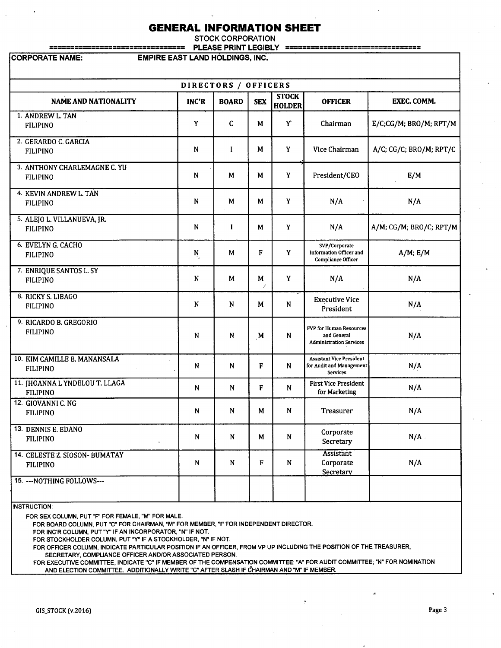# **GENERAL INFORMATION SHEET**

STOCK CORPORATION ================================ PLEASE PRINT LEGIBLY ================================

CORPORATE NAME: EMPIRE EAST LAND HOLDINGS, INC.

| DIRECTORS / OFFICERS                              |              |              |            |                               |                                                                                |                         |  |  |
|---------------------------------------------------|--------------|--------------|------------|-------------------------------|--------------------------------------------------------------------------------|-------------------------|--|--|
| <b>NAME AND NATIONALITY</b>                       | <b>INC'R</b> | <b>BOARD</b> | <b>SEX</b> | <b>STOCK</b><br><b>HOLDER</b> | <b>OFFICER</b>                                                                 | <b>EXEC. COMM.</b>      |  |  |
| 1. ANDREW L. TAN<br><b>FILIPINO</b>               | Y            | $\mathsf{C}$ | M          | Y                             | Chairman                                                                       | E/C;CG/M; BRO/M; RPT/M  |  |  |
| 2. GERARDO C. GARCIA<br><b>FILIPINO</b>           | N            | I            | M          | Y                             | Vice Chairman                                                                  | A/C; CG/C; BRO/M; RPT/C |  |  |
| 3. ANTHONY CHARLEMAGNE C. YU<br><b>FILIPINO</b>   | N            | M            | М          | Y                             | President/CEO                                                                  | E/M                     |  |  |
| 4. KEVIN ANDREW L. TAN<br><b>FILIPINO</b>         | N            | M            | М          | Y                             | N/A                                                                            | N/A                     |  |  |
| 5. ALEJO L. VILLANUEVA, JR.<br><b>FILIPINO</b>    | N            | $\mathbf{I}$ | M          | Y                             | N/A                                                                            | A/M; CG/M; BRO/C; RPT/M |  |  |
| 6. EVELYN G. CACHO<br><b>FILIPINO</b>             | N            | M            | F          | Y                             | SVP/Corporate<br>Information Officer and<br>Compliance Officer                 | $A/M$ ; $E/M$           |  |  |
| 7. ENRIQUE SANTOS L. SY<br><b>FILIPINO</b>        | N            | M            | M          | Y                             | N/A                                                                            | N/A                     |  |  |
| 8. RICKY S. LIBAGO<br><b>FILIPINO</b>             | N            | N            | M          | N                             | <b>Executive Vice</b><br>President                                             | N/A                     |  |  |
| 9. RICARDO B. GREGORIO<br><b>FILIPINO</b>         | N            | N            | M          | N                             | FVP for Human Resources<br>and General<br><b>Administration Services</b>       | N/A                     |  |  |
| 10. KIM CAMILLE B. MANANSALA<br><b>FILIPINO</b>   | N            | N            | F          | N                             | <b>Assistant Vice President</b><br>for Audit and Management<br><b>Services</b> | N/A                     |  |  |
| 11. JHOANNA L YNDELOU T. LLAGA<br><b>FILIPINO</b> | N            | N            | F          | N                             | <b>First Vice President</b><br>for Marketing                                   | N/A                     |  |  |
| 12. GIOVANNI C. NG<br><b>FILIPINO</b>             | N            | N            | M          | N                             | Treasurer                                                                      | N/A                     |  |  |
| 13. DENNIS E. EDANO<br><b>FILIPINO</b>            | N            | N            | M          | N                             | Corporate<br>Secretary                                                         | N/A                     |  |  |
| 14. CELESTE Z. SIOSON- BUMATAY<br><b>FILIPINO</b> | N            | N            | F          | N                             | Assistant<br>Corporate<br><b>Secretary</b>                                     | N/A                     |  |  |
| 15. --- NOTHING FOLLOWS---                        |              |              |            |                               |                                                                                |                         |  |  |

INSTRUCTION:

FOR SEX COLUMN, PUT "F" FOR FEMALE, "M" FOR MALE.

FOR BOARD COLUMN, PUT "C" FOR CHAIRMAN, "M" FOR MEMBER, "I" FOR INDEPENDENT DIRECTOR.

FOR INC'R COLUMN, PUT "Y" IF AN INCORPORATOR, "N" IF NOT.

FOR STOCKHOLDER COLUMN, PUT ''Y'' IF A STOCKHOLDER, "N" IF NOT.

FOR OFFICER COLUMN, INDICATE PARTICULAR POSITION IF AN OFFICER, FROM VP UP INCLUDING THE POSITION OF THE TREASURER,

SECRETARY, COMPLIANCE OFFICER AND/OR ASSOCIATED PERSON.

FOR EXECUTIVE COMMITTEE, INDICATE "C" IF MEMBER OF THE COMPENSATION COMMITTEE; "A" FOR AUDIT COMMITTEE; "N" FOR NOMINATION AND ELECTION COMMITTEE. ADDITIONALLY WRITE "C" AFTER SLASH IF CHAIRMAN AND "M" IF MEMBER.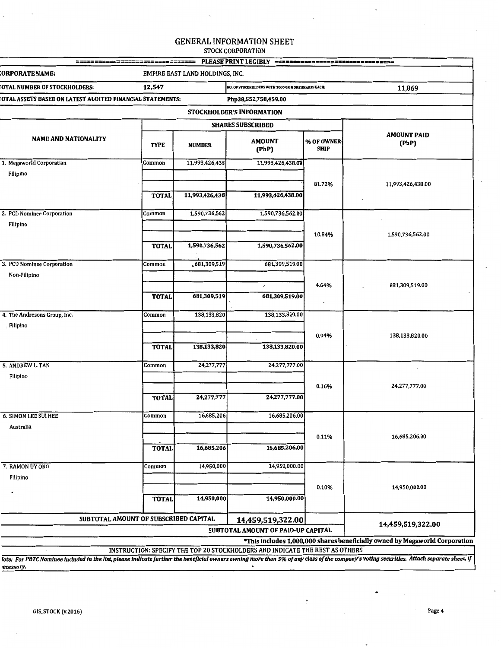| PLEASE PRINT LEGIBLY =================================                                                                                                                                                                                                                    |              |                                                              |                                    |                           |                                                                             |  |  |
|---------------------------------------------------------------------------------------------------------------------------------------------------------------------------------------------------------------------------------------------------------------------------|--------------|--------------------------------------------------------------|------------------------------------|---------------------------|-----------------------------------------------------------------------------|--|--|
| :ORPORATE NAME:<br>EMPIRE EAST LAND HOLDINGS, INC.                                                                                                                                                                                                                        |              |                                                              |                                    |                           |                                                                             |  |  |
| OTAL NUMBER OF STOCKHOLDERS:                                                                                                                                                                                                                                              | 12,547       | NO. OF STOCKHOLDERS WITH 1000 OR MORE SHARES EACH:<br>11,869 |                                    |                           |                                                                             |  |  |
| OTAL ASSETS BASED ON LATEST AUDITED FINANCIAL STATEMENTS:                                                                                                                                                                                                                 |              |                                                              |                                    |                           |                                                                             |  |  |
| STOCKHOLDER'S INFORMATION                                                                                                                                                                                                                                                 |              |                                                              |                                    |                           |                                                                             |  |  |
|                                                                                                                                                                                                                                                                           |              |                                                              | <b>SHARES SUBSCRIBED</b>           |                           |                                                                             |  |  |
| <b>NAME AND NATIONALITY</b>                                                                                                                                                                                                                                               | <b>TYPE</b>  | <b>NUMBER</b>                                                | <b>AMOUNT</b><br>(PhP)             | % OF OWNER<br><b>SHIP</b> | <b>AMOUNT PAID</b><br>(PhP)                                                 |  |  |
| 1. Megaworld Corporation                                                                                                                                                                                                                                                  | Common       | 11,993,426,438                                               | 11,993,426,438.00                  |                           |                                                                             |  |  |
| Filipino                                                                                                                                                                                                                                                                  |              |                                                              |                                    |                           |                                                                             |  |  |
|                                                                                                                                                                                                                                                                           | <b>TOTAL</b> | 11,993,426,438                                               | 11,993,426,438.00                  | 81.72%                    | 11,993,426,438.00                                                           |  |  |
| 2. PCD Nominee Corporation                                                                                                                                                                                                                                                | Common       | 1,590,736,562                                                | 1,590,736,562.00                   |                           |                                                                             |  |  |
| Filipino                                                                                                                                                                                                                                                                  |              |                                                              |                                    |                           |                                                                             |  |  |
|                                                                                                                                                                                                                                                                           |              |                                                              |                                    | 10.84%                    | 1,590,736,562.00                                                            |  |  |
|                                                                                                                                                                                                                                                                           | <b>TOTAL</b> | 1,590,736,562                                                | 1,590,736,562.00                   |                           |                                                                             |  |  |
| 3. PCD Nominee Corporation                                                                                                                                                                                                                                                | Common       | 681,309,519                                                  | 681,309,519.00                     |                           |                                                                             |  |  |
| Non-Filipino                                                                                                                                                                                                                                                              |              |                                                              |                                    |                           |                                                                             |  |  |
|                                                                                                                                                                                                                                                                           |              |                                                              | $^\prime$                          | 4.64%                     | 681,309,519.00                                                              |  |  |
|                                                                                                                                                                                                                                                                           | <b>TOTAL</b> | 681,309,519                                                  | 681,309,519.00                     |                           |                                                                             |  |  |
| 4. The Andresons Group, Inc.                                                                                                                                                                                                                                              | Common       | 138,133,820                                                  | 138,133,820.00                     |                           |                                                                             |  |  |
| Filipino                                                                                                                                                                                                                                                                  |              |                                                              |                                    |                           |                                                                             |  |  |
|                                                                                                                                                                                                                                                                           | <b>TOTAL</b> | 138,133,820                                                  | 138,133,820.00                     | 0.94%                     | 138,133,820.00                                                              |  |  |
| 5. ANDREW L. TAN                                                                                                                                                                                                                                                          | Common       | 24,277,777                                                   | 24,277,777.00                      |                           |                                                                             |  |  |
| Filipino                                                                                                                                                                                                                                                                  |              |                                                              |                                    |                           |                                                                             |  |  |
|                                                                                                                                                                                                                                                                           | <b>TOTAL</b> | 24,277,777                                                   | 24,277,777.00                      | 0.16%                     | 24,277,777.00                                                               |  |  |
| 6. SIMON LEE SUI HEE                                                                                                                                                                                                                                                      | Common       | 16,685,206                                                   | 16,685,206.00                      |                           |                                                                             |  |  |
| Australia                                                                                                                                                                                                                                                                 |              |                                                              |                                    |                           |                                                                             |  |  |
|                                                                                                                                                                                                                                                                           | <b>TOTAL</b> | 16,685,206                                                   | 16,685,206.00                      | 0.11%                     | 16,685,206.00                                                               |  |  |
| 7. RAMON UY ONG                                                                                                                                                                                                                                                           | Common       | 14,950,000                                                   | 14,950,000.00                      |                           |                                                                             |  |  |
| Filipino                                                                                                                                                                                                                                                                  |              |                                                              |                                    |                           |                                                                             |  |  |
|                                                                                                                                                                                                                                                                           | <b>TOTAL</b> | 14,950,000                                                   | 14,950,000.00                      | 0.10%                     | 14,950,000.00                                                               |  |  |
| SUBTOTAL AMOUNT OF SUBSCRIBED CAPITAL                                                                                                                                                                                                                                     |              |                                                              | 14,459,519,322.00                  |                           |                                                                             |  |  |
|                                                                                                                                                                                                                                                                           |              |                                                              | SUBTOTAL AMOUNT OF PAID-UP CAPITAL |                           | 14,459,519,322.00                                                           |  |  |
|                                                                                                                                                                                                                                                                           |              |                                                              |                                    |                           | *This includes 1,000,000 shares beneficially owned by Megaworld Corporation |  |  |
| INSTRUCTION: SPECIFY THE TOP 20 STOCKHOLDERS AND INDICATE THE REST AS OTHERS<br>lote: For PDTC Nominee included in the list, please indicate further the beneficial owners owning more than 5% of any class of the company's voting securities. Attach separate sheet, if |              |                                                              |                                    |                           |                                                                             |  |  |

*tecessary.* 

 $\overline{\phantom{a}}$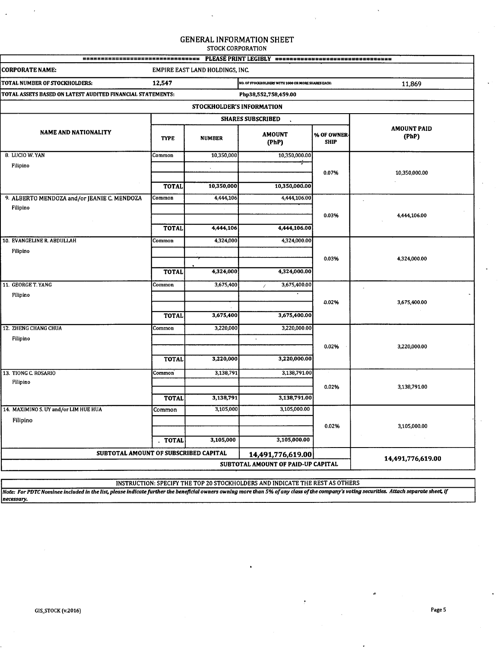| =================================                          |                     |                                 | PLEASÉ PRINT LEGIBLY ================================== |                           |                             |
|------------------------------------------------------------|---------------------|---------------------------------|---------------------------------------------------------|---------------------------|-----------------------------|
| <b>CORPORATE NAME:</b>                                     |                     | EMPIRE EAST LAND HOLDINGS, INC. |                                                         |                           |                             |
| TOTAL NUMBER OF STOCKHOLDERS:                              | 12,547              |                                 | NO. OF STOCKHOLDERS WITH 1000 OR MORE SHARES EACH:      |                           | 11,869                      |
| TOTAL ASSETS BASED ON LATEST AUDITED FINANCIAL STATEMENTS: |                     |                                 | Php38,552,758,459.00                                    |                           |                             |
|                                                            |                     | STOCKHOLDER'S INFORMATION       |                                                         |                           |                             |
|                                                            |                     | <b>SHARES SUBSCRIBED</b>        |                                                         |                           |                             |
| <b>NAME AND NATIONALITY</b>                                | <b>TYPE</b>         | <b>NUMBER</b>                   | <b>AMOUNT</b><br>(PhP)                                  | % OF OWNER<br><b>SHIP</b> | <b>AMOUNT PAID</b><br>(PhP) |
| 8. LUCIO W. YAN                                            | Common              | 10,350,000                      | 10,350,000.00                                           |                           |                             |
| Filipino                                                   |                     | $\ddot{\phantom{a}}$            |                                                         | 0.07%                     | 10,350,000.00               |
|                                                            |                     |                                 |                                                         |                           |                             |
|                                                            | <b>TOTAL</b>        | 10,350,000                      | 10,350,000.00                                           |                           |                             |
| 9. ALBERTO MENDOZA and/or JEANIE C. MENDOZA<br>Filipino    | Common              | 4,444,106                       | 4,444,106.00                                            |                           |                             |
|                                                            |                     |                                 |                                                         | 0.03%                     | 4,444,106.00                |
|                                                            | <b>TOTAL</b>        | 4,444,106                       | 4,444,106.00                                            |                           |                             |
| 10. EVANGELINE R. ABDULLAH                                 | Common              | 4,324,000                       | 4,324,000.00                                            |                           |                             |
| Filipino                                                   |                     |                                 |                                                         |                           |                             |
|                                                            |                     |                                 |                                                         | 0.03%                     | 4,324,000.00                |
|                                                            | <b>TOTAL</b>        | 4,324,000                       | 4,324,000.00                                            |                           |                             |
| 11. GEORGE T. YANG                                         | Common              | 3,675,400                       | 3,675,400.00<br>$\lambda$                               |                           |                             |
| Filipino                                                   |                     |                                 |                                                         | 0.02%                     | 3,675,400.00                |
|                                                            | <b>TOTAL</b>        | 3,675,400                       | 3,675,400.00                                            |                           |                             |
| 12. ZHENG CHANG CHUA                                       |                     |                                 |                                                         |                           |                             |
| Filipino                                                   | Common              | 3,220,000                       | 3,220,000.00<br>$\bullet$                               |                           |                             |
|                                                            |                     |                                 |                                                         | 0.02%                     | 3,220,000.00                |
|                                                            | <b>TOTAL</b>        | 3,220,000                       | 3,220,000.00                                            |                           |                             |
| 13. TIONG C. ROSARIO                                       | Common <sup>®</sup> | 3,138,791                       | 3,138,791.00                                            |                           |                             |
| Filipino                                                   |                     |                                 |                                                         | 0.02%                     | 3,138,791.00                |
|                                                            | <b>TOTAL</b>        | 3,138,791                       | 3,138,791.00                                            |                           |                             |
| 14. MAXIMINO S. UY and/or LIM HUE HUA                      | Common              | 3,105,000                       | 3,105,000.00                                            |                           |                             |
| Filipino                                                   |                     |                                 |                                                         | 0.02%                     | 3,105,000.00                |
|                                                            |                     |                                 |                                                         |                           |                             |
|                                                            | . TOTAL             | 3,105,000                       | 3,105,000.00                                            |                           |                             |
| SUBTOTAL AMOUNT OF SUBSCRIBED CAPITAL                      |                     |                                 | 14,491,776,619.00                                       |                           | 14,491,776,619.00           |
|                                                            |                     |                                 | SUBTOTAL AMOUNT OF PAID-UP CAPITAL                      |                           |                             |
|                                                            |                     |                                 |                                                         |                           |                             |

INSTRUCTION: SPECIFY THE TOP 20 STOCKHOLDERS AND INDICATE THE REST AS OTHERS

*Note: For PDTC Nominee included In the list, please Indicate fUrther the beneficial owners owning more than 5% of any class of the company's voting securities. Attach separate sheet, If necessary.*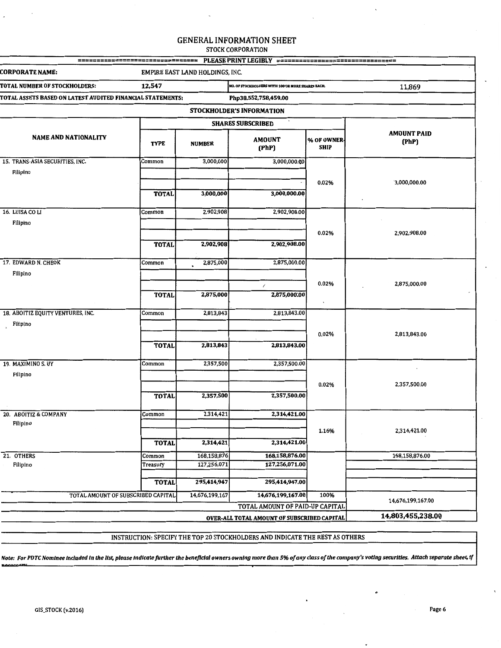====-=====--=====-====-========= PLEASE PRINT LEGIBLY =============---=====-=====-==== CORPORATE NAME: EMPIRE EAST LAND HOLDINGS, INC. TOTAL NUMBER OF STOCKHOLDERS: 12,547 **NO. OF STOCKHOLDERS WITH tOO OR MORE SHARES EACH:** 11,869 TOTAL ASSETS BASED ON LATEST AUDITED FINANCIAL STATEMENTS: Php38,552,758,459.00 STOCKHOLDER'S INFORMATION SHARES SUBSCRIBED NAME AND NATIONALITY AMOUNT PAID TYPE NUMBER AMOUNT <sup>96</sup> OF OWNER (PhP) (PhP) SHIP 15. TRANS-ASIA SECURITIES, INC. Common 3,000,000 3,000,000.00 Filipino 0.02% 3,000,000.00 TOTAL 3,000,000 3,000,000.00 16. LUISA CO LI Common Common 2,902,908 2,902,908.00 Filipino 0.02% 2,902,908.00 TOTAL 2,902,908 2,902,908.00 17. EDWARD N. CHEOK Common 2,875,000 2,875,000.00 Filipino <sup>I</sup>0.02% 2,875,000.00 TOTAL 2,875,000 2,875,000.00 18. ABOITIZ EQUITY VENTURES, INC. Common 2,813,843 2,813,843.00 Filipino 0.02% 2,813,843.00 TOTAL 2,813,843 2,813,843.00 19. MAXIMINO S. UY Common 2,357,500 2,357,500.00 Filipino 0.02% 2,357,500.00 TOTAL 2,357,500 2,357,500.00 20. ABOITIZ & COMPANY Common 2,314,421 2,314,421.00 Filipino 1.16% 2,314,421.00 TOTAL 2,314,421 2,314,421.00 21. OTHERS Common 168,158,876 168,158,876.00 168,158,876.00 Filipino 127,256,071.00 Treasury 127,256,071 127,256,071.00 TOTAL 295,414,947 295,414,947.00 TOTAL AMOUNT OF SUBSCRIBED CAPITAL 14,676,199,167 14,676,199,167.00 100% 14,676,199,167.00 TOTAL AMOUNT OF PAID-UP CAPITAL OVER-ALL TOTAL AMOUNT OF SUBSCRIBED CAPITAL 14,803,455,238.00

INSTRUCTION: SPECIFY THE TOP 20 STOCKHOLDERS AND INDICATE THE REST AS OTHERS

*!Vote: For PDTC Nominee Included In the list, please Indicate further the beneficial owners owning more than 5% of any class of the company's voting securities. Attach separate sheet, If*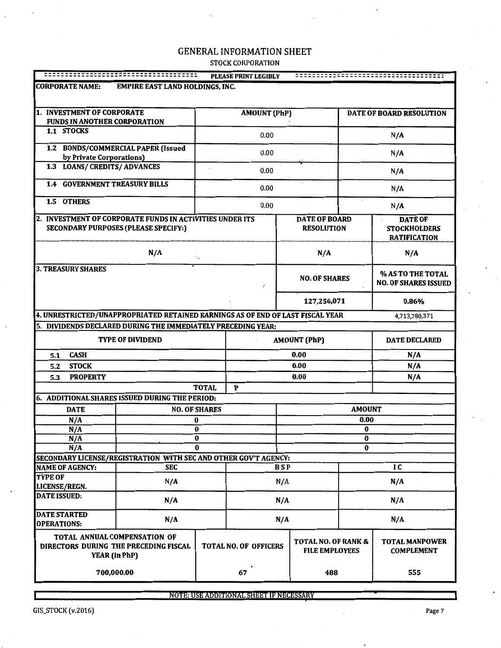|                                                                  |                                                                                                         |                              | <b>PLEASE PRINT LEGIBLY</b> |                                                         |                                           |                          | ======================================                       |  |
|------------------------------------------------------------------|---------------------------------------------------------------------------------------------------------|------------------------------|-----------------------------|---------------------------------------------------------|-------------------------------------------|--------------------------|--------------------------------------------------------------|--|
| <b>CORPORATE NAME:</b><br><b>EMPIRE EAST LAND HOLDINGS, INC.</b> |                                                                                                         |                              |                             |                                                         |                                           |                          |                                                              |  |
| 1. INVESTMENT OF CORPORATE<br>FUNDS IN ANOTHER CORPORATION       |                                                                                                         |                              | <b>AMOUNT (PhP)</b>         |                                                         |                                           | DATE OF BOARD RESOLUTION |                                                              |  |
| 1.1 STOCKS                                                       |                                                                                                         |                              | 0.00                        |                                                         |                                           | N/A                      |                                                              |  |
|                                                                  | 1.2 BONDS/COMMERCIAL PAPER (Issued                                                                      |                              | 0.00                        |                                                         |                                           |                          | N/A                                                          |  |
| by Private Corporations)<br>1.3 LOANS/ CREDITS/ ADVANCES         |                                                                                                         |                              | 0.00                        |                                                         |                                           |                          | N/A                                                          |  |
| <b>1.4 GOVERNMENT TREASURY BILLS</b>                             |                                                                                                         |                              |                             |                                                         |                                           |                          |                                                              |  |
| 1.5 OTHERS                                                       |                                                                                                         |                              | 0.00                        |                                                         |                                           |                          | N/A                                                          |  |
|                                                                  |                                                                                                         |                              | 0.00                        |                                                         |                                           |                          | N/A                                                          |  |
|                                                                  | 2. INVESTMENT OF CORPORATE FUNDS IN ACTIVITIES UNDER ITS<br><b>SECONDARY PURPOSES (PLEASE SPECIFY:)</b> |                              |                             |                                                         | <b>DATE OF BOARD</b><br><b>RESOLUTION</b> |                          | <b>DATE OF</b><br><b>STOCKHOLDERS</b><br><b>RATIFICATION</b> |  |
|                                                                  | N/A                                                                                                     | c,                           |                             |                                                         | N/A                                       |                          | N/A                                                          |  |
| <b>3. TREASURY SHARES</b>                                        |                                                                                                         |                              |                             |                                                         | <b>NO. OF SHARES</b>                      |                          | % AS TO THE TOTAL<br><b>NO. OF SHARES ISSUED</b>             |  |
|                                                                  |                                                                                                         |                              |                             |                                                         | 127,256,071                               |                          | 0.86%                                                        |  |
|                                                                  | 4. UNRESTRICTED/UNAPPROPRIATED RETAINED EARNINGS AS OF END OF LAST FISCAL YEAR                          |                              |                             |                                                         |                                           |                          | 4,713,780,371                                                |  |
|                                                                  | 5. DIVIDENDS DECLARED DURING THE IMMEDIATELY PRECEDING YEAR:                                            |                              |                             |                                                         |                                           |                          |                                                              |  |
| <b>TYPE OF DIVIDEND</b>                                          |                                                                                                         |                              |                             |                                                         | <b>AMOUNT (PhP)</b>                       |                          | <b>DATE DECLARED</b>                                         |  |
| <b>CASH</b><br>5.1                                               |                                                                                                         |                              |                             |                                                         | 0.00                                      |                          | N/A                                                          |  |
| <b>STOCK</b><br>5.2                                              |                                                                                                         |                              |                             |                                                         | 0.00                                      |                          | N/A                                                          |  |
| <b>PROPERTY</b><br>5.3                                           |                                                                                                         |                              |                             |                                                         | 0.00                                      |                          | N/A                                                          |  |
|                                                                  |                                                                                                         | <b>TOTAL</b>                 | P                           |                                                         |                                           |                          |                                                              |  |
|                                                                  | 6. ADDITIONAL SHARES ISSUED DURING THE PERIOD:                                                          |                              |                             |                                                         |                                           |                          |                                                              |  |
| <b>DATE</b>                                                      |                                                                                                         | <b>NO. OF SHARES</b>         |                             |                                                         |                                           | <b>AMOUNT</b>            |                                                              |  |
| N/A                                                              |                                                                                                         | 0                            |                             |                                                         |                                           | 0.00                     |                                                              |  |
| N/A                                                              |                                                                                                         | $\bf{0}$<br>0                |                             |                                                         |                                           | $\bf{0}$                 | o                                                            |  |
| N/A<br>N/A                                                       |                                                                                                         | 0                            |                             |                                                         |                                           | 0                        |                                                              |  |
|                                                                  | SECONDARY LICENSE/REGISTRATION WITH SEC AND OTHER GOV'T AGENCY:                                         |                              |                             |                                                         |                                           |                          |                                                              |  |
| <b>NAME OF AGENCY:</b>                                           | <b>SEC</b>                                                                                              |                              |                             | <b>BSP</b>                                              |                                           |                          | IC                                                           |  |
| <b>TYPE OF</b><br>LICENSE/REGN.                                  | N/A                                                                                                     |                              |                             | N/A                                                     |                                           |                          | N/A                                                          |  |
| <b>DATE ISSUED:</b>                                              | N/A                                                                                                     | N/A                          |                             | N/A                                                     |                                           |                          |                                                              |  |
| <b>DATE STARTED</b><br>I<br><b>OPERATIONS:</b>                   | N/A                                                                                                     |                              |                             | N/A                                                     | N/A                                       |                          |                                                              |  |
|                                                                  | TOTAL ANNUAL COMPENSATION OF<br>DIRECTORS DURING THE PRECEDING FISCAL<br><b>YEAR (in PhP)</b>           | <b>TOTAL NO. OF OFFICERS</b> |                             | <b>TOTAL NO. OF RANK &amp;</b><br><b>FILE EMPLOYEES</b> |                                           |                          | <b>TOTAL MANPOWER</b><br><b>COMPLEMENT</b>                   |  |
|                                                                  | 700,000.00                                                                                              |                              | 67                          |                                                         | 488                                       |                          | 555                                                          |  |

NOTE: USE ADDITIONAL SHEET IF NECESSARY

ि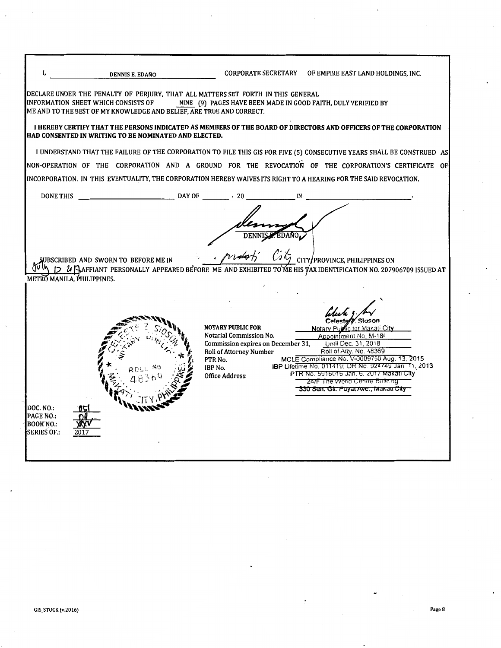|                                                                                                                                                                                                                           | CORPORATE SECRETARY OF EMPIRE EAST LAND HOLDINGS, INC.                                                                                                                                                                                                                                                                                                                                                                                                                                             |
|---------------------------------------------------------------------------------------------------------------------------------------------------------------------------------------------------------------------------|----------------------------------------------------------------------------------------------------------------------------------------------------------------------------------------------------------------------------------------------------------------------------------------------------------------------------------------------------------------------------------------------------------------------------------------------------------------------------------------------------|
| DECLARE UNDER THE PENALTY OF PERJURY, THAT ALL MATTERS SET FORTH IN THIS GENERAL<br>NINE (9) PAGES HAVE BEEN MADE IN GOOD FAITH, DULY VERIFIED BY<br>ME AND TO THE BEST OF MY KNOWLEDGE AND BELIEF, ARE TRUE AND CORRECT. |                                                                                                                                                                                                                                                                                                                                                                                                                                                                                                    |
| HAD CONSENTED IN WRITING TO BE NOMINATED AND ELECTED.                                                                                                                                                                     | I HEREBY CERTIFY THAT THE PERSONS INDICATED AS MEMBERS OF THE BOARD OF DIRECTORS AND OFFICERS OF THE CORPORATION                                                                                                                                                                                                                                                                                                                                                                                   |
|                                                                                                                                                                                                                           | I UNDERSTAND THAT THE FAILURE OF THE CORPORATION TO FILE THIS GIS FOR FIVE (5) CONSECUTIVE YEARS SHALL BE CONSTRUED AS                                                                                                                                                                                                                                                                                                                                                                             |
|                                                                                                                                                                                                                           | NON-OPERATION OF THE CORPORATION AND A GROUND FOR THE REVOCATION OF THE CORPORATION'S CERTIFICATE OF                                                                                                                                                                                                                                                                                                                                                                                               |
|                                                                                                                                                                                                                           | INCORPORATION. IN THIS EVENTUALITY, THE CORPORATION HEREBY WAIVES ITS RIGHT TO A HEARING FOR THE SAID REVOCATION.                                                                                                                                                                                                                                                                                                                                                                                  |
|                                                                                                                                                                                                                           |                                                                                                                                                                                                                                                                                                                                                                                                                                                                                                    |
| <b>NOTARY PUBLIC FOR</b><br>Notarial Commission No.<br>Commission expires on December 31,<br><b>Roll of Attorney Number</b><br>PTR No.<br>IBP No.<br>Office Address:                                                      | CITY/PROVINCE, PHILIPPINES ON<br>$\mathcal U$ Saffiant personally appeared before me and exhibited to me his $\psi$ ax identification no. 207906709 issued at<br>lic for Makati Ci <b>ty</b><br>Appointment No. M-18<br>Until Dec. 31, 2018<br>Roll of Atty. No. 48369<br>MCLE Compliance No. V-0009750 Aug. 13, 2015<br>IBP Lifetime No. 011419; OR No. 924749 Jan 11, 2013<br>PTR No. 5916016 Jan. 6, 2017 Makati City<br>24/F The World Centre Bullding<br>330 Sen. Gir. Puyat Ave., Makau City |
|                                                                                                                                                                                                                           |                                                                                                                                                                                                                                                                                                                                                                                                                                                                                                    |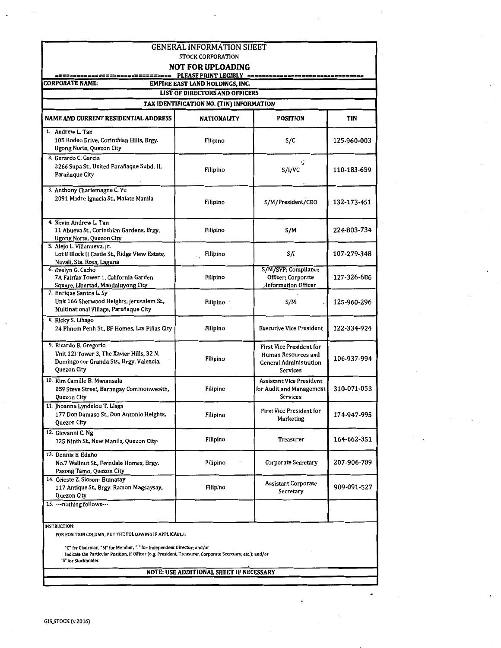| <b>GENERAL INFORMATION SHEET</b>                                                                                                                                                                              |                                                                          |                                                                                              |             |  |  |  |  |  |
|---------------------------------------------------------------------------------------------------------------------------------------------------------------------------------------------------------------|--------------------------------------------------------------------------|----------------------------------------------------------------------------------------------|-------------|--|--|--|--|--|
|                                                                                                                                                                                                               | <b>STOCK CORPORATION</b><br><b>NOT FOR UPLOADING</b>                     |                                                                                              |             |  |  |  |  |  |
|                                                                                                                                                                                                               |                                                                          |                                                                                              |             |  |  |  |  |  |
| <b>CORPORATE NAME:</b>                                                                                                                                                                                        | EMPIRE EAST LAND HOLDINGS, INC.<br><b>LIST OF DIRECTORS AND OFFICERS</b> |                                                                                              |             |  |  |  |  |  |
|                                                                                                                                                                                                               | TAX IDENTIFICATION NO. (TIN) INFORMATION                                 |                                                                                              |             |  |  |  |  |  |
| NAME AND CURRENT RESIDENTIAL ADDRESS                                                                                                                                                                          | <b>NATIONALITY</b>                                                       | <b>POSITION</b>                                                                              | TIN         |  |  |  |  |  |
| 1. Andrew L. Tan<br>105 Rodeo Drive, Corinthian Hills, Brgy.<br>Ugong Norte, Quezon City                                                                                                                      | Filipino                                                                 | S/C                                                                                          | 125-960-003 |  |  |  |  |  |
| 2. Gerardo C. Garcia<br>3266 Supa St., United Parañaque Subd. II,<br>Parañaque City                                                                                                                           | Filipino                                                                 | ٠<br>S/I/VC                                                                                  | 110-183-659 |  |  |  |  |  |
| 3. Anthony Charlemagne C. Yu<br>2091 Madre Ignacia St., Malate Manila                                                                                                                                         | Filipino                                                                 | S/M/President/CEO                                                                            | 132-173-451 |  |  |  |  |  |
| 4. Kevin Andrew L. Tan<br>11 Abueva St., Corinthian Gardens, Brgy.<br>Ugong Norte, Quezon City                                                                                                                | Filipino                                                                 | S/M                                                                                          | 224-803-734 |  |  |  |  |  |
| 5. Aleio L. Villanueva, Ir.<br>Lot 8 Block II Castle St., Ridge View Estate,<br>Nuvali, Sta. Rosa, Laguna                                                                                                     | Filipino                                                                 | S/I                                                                                          | 107-279-348 |  |  |  |  |  |
| 6. Evelyn G. Cacho<br>7A Fairfax Tower 1, California Garden<br>Square, Libertad, Mandaluyong City                                                                                                             | Filipino                                                                 | S/M/SVP; Compliance<br>Officer: Corporate<br>Information Officer                             | 127-326-686 |  |  |  |  |  |
| 7. Enrique Santos L. Sy<br>Unit 166 Sherwood Heights, Jerusalem St.,<br>Multinational Village, Parañaque City                                                                                                 | Filipino ·                                                               | S/M                                                                                          | 125-960-296 |  |  |  |  |  |
| 8. Ricky S. Libago<br>24 Phnom Penh St., BF Homes, Las Piñas City                                                                                                                                             | Filipino                                                                 | <b>Executive Vice President</b>                                                              | 122-334-924 |  |  |  |  |  |
| 9. Ricardo B. Gregorio<br>Unit 12I Tower 3, The Xavier Hills, 32 N.<br>Domingo cor Granda Sts., Brgy. Valencia,<br>Quezon City                                                                                | Filipino                                                                 | First Vice President for<br>Human Resources and<br><b>General Administration</b><br>Services | 106-937-994 |  |  |  |  |  |
| 10. Kim Camille B. Manansala<br>059 Steve Street, Barangay Commonwealth,<br>Quezon City                                                                                                                       | Filipino                                                                 | <b>Assistant Vice President</b><br>for Audit and Management<br>Services                      | 310-071-053 |  |  |  |  |  |
| 11. Jhoanna Lyndelou T. Llaga<br>177 Don Damaso St., Don Antonio Heights,<br>Quezon City                                                                                                                      | Filipino                                                                 | <b>First Vice President for</b><br>Marketing                                                 | 174-947-995 |  |  |  |  |  |
| 12. Giovanni C. Ng<br>125 Ninth St., New Manila, Quezon City•                                                                                                                                                 | Filipino                                                                 | Treasurer                                                                                    | 164-662-351 |  |  |  |  |  |
| 13. Dennis E. Edaño<br>No.7 Wallnut St., Ferndale Homes, Brgy.<br>Pasong Tamo, Quezon City                                                                                                                    | Filipino                                                                 | Corporate Secretary                                                                          | 207-906-709 |  |  |  |  |  |
| 14. Celeste Z. Sioson-Bumatay<br>117 Antique St., Brgy. Ramon Magsaysay,<br>Quezon City                                                                                                                       | Filipino                                                                 | Assistant Corporate<br>Secretary                                                             | 909-091-527 |  |  |  |  |  |
| 15. ---nothing follows---                                                                                                                                                                                     |                                                                          |                                                                                              |             |  |  |  |  |  |
| INSTRUCTION:<br>FOR POSITION COLUMN, PUT THE FOLLOWING IF APPLICABLE:                                                                                                                                         |                                                                          |                                                                                              |             |  |  |  |  |  |
| "C" for Chairman, "M" for Member, "I" for Independent Director; and/or<br>Indicate the Particular Position, if Officer (e.g. President, Treasurer, Corporate Secretary, etc.); and/or<br>"S" for Stockholder. |                                                                          |                                                                                              |             |  |  |  |  |  |
|                                                                                                                                                                                                               | <b>NOTE: USE ADDITIONAL SHEET IF NECESSARY</b>                           |                                                                                              |             |  |  |  |  |  |
|                                                                                                                                                                                                               |                                                                          |                                                                                              |             |  |  |  |  |  |

 $\ddot{\phantom{0}}$ 

 $\bar{q}$ 

 $\bullet$ 

 $\bar{z}$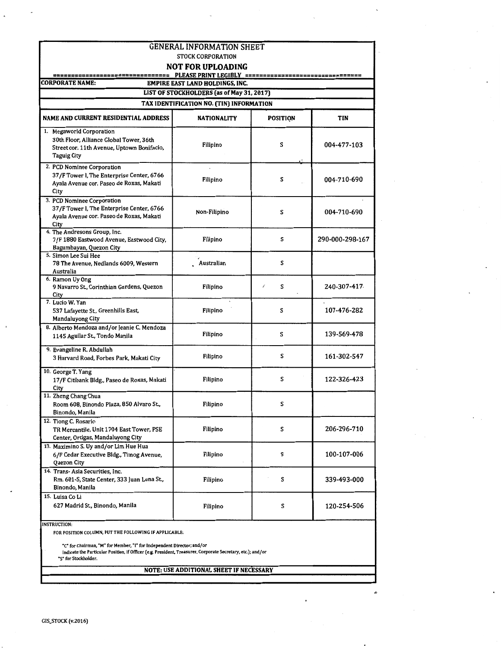| <b>GENERAL INFORMATION SHEET</b>                                                                                                                                                                                                                                                              |                                                                                     |                 |                 |  |  |
|-----------------------------------------------------------------------------------------------------------------------------------------------------------------------------------------------------------------------------------------------------------------------------------------------|-------------------------------------------------------------------------------------|-----------------|-----------------|--|--|
|                                                                                                                                                                                                                                                                                               | <b>STOCK CORPORATION</b><br><b>NOT FOR UPLOADING</b>                                |                 |                 |  |  |
|                                                                                                                                                                                                                                                                                               |                                                                                     |                 |                 |  |  |
| <b>CORPORATE NAME:</b>                                                                                                                                                                                                                                                                        | <b>EMPIRE EAST LAND HOLDINGS, INC.</b><br>LIST OF STOCKHOLDERS (as of May 31, 2017) |                 |                 |  |  |
|                                                                                                                                                                                                                                                                                               | TAX IDENTIFICATION NO. (TIN) INFORMATION                                            |                 |                 |  |  |
|                                                                                                                                                                                                                                                                                               |                                                                                     |                 |                 |  |  |
| <b>NAME AND CURRENT RESIDENTIAL ADDRESS</b>                                                                                                                                                                                                                                                   | <b>NATIONALITY</b>                                                                  | <b>POSITION</b> | TIN             |  |  |
| 1. Megaworld Corporation<br>30th Floor, Alliance Global Tower, 36th<br>Street cor. 11th Avenue, Uptown Bonifacio,<br><b>Taguig City</b>                                                                                                                                                       | Filipino                                                                            | S               | 004-477-103     |  |  |
| 2. PCD Nominee Corporation<br>37/F Tower I, The Enterprise Center, 6766<br>Ayala Avenue cor. Paseo de Roxas, Makati<br>City                                                                                                                                                                   | Filipino                                                                            | S               | 004-710-690     |  |  |
| 3. PCD Nominee Corporation<br>37/F Tower I, The Enterprise Center, 6766<br>Ayala Avenue cor. Paseo de Roxas, Makati<br>City                                                                                                                                                                   | Non-Filipino                                                                        | S               | 004-710-690     |  |  |
| 4. The Andresons Group, Inc.<br>7/F 1880 Eastwood Avenue, Eastwood City,<br>Bagumbayan, Quezon City                                                                                                                                                                                           | Filipino                                                                            | S               | 290-000-298-167 |  |  |
| 5. Simon Lee Sui Hee<br>78 The Avenue, Nedlands 6009, Western<br>Australia                                                                                                                                                                                                                    | Australian                                                                          | S               |                 |  |  |
| 6. Ramon Uy Ong<br>9 Navarro St., Corinthian Gardens, Quezon<br>City                                                                                                                                                                                                                          | Filipino                                                                            | 7<br>s          | 240-307-417     |  |  |
| 7. Lucio W. Yan<br>537 Lafayette St., Greenhills East,<br>Mandaluyong City                                                                                                                                                                                                                    | Filipino                                                                            | s               | 107-476-282     |  |  |
| 8. Alberto Mendoza and/or Jeanie C. Mendoza<br>1145 Aguilar St., Tondo Manila                                                                                                                                                                                                                 | Filipino                                                                            | S               | 139-569-478     |  |  |
| 9. Evangeline R. Abdullah<br>3 Harvard Road, Forbes Park, Makati City                                                                                                                                                                                                                         | Filipino                                                                            | S               | 161-302-547     |  |  |
| 10. George T. Yang<br>17/F Citibank Bldg., Paseo de Roxas, Makati<br>City                                                                                                                                                                                                                     | Filipino                                                                            | S               | 122-326-423     |  |  |
| 11. Zheng Chang Chua<br>Room 608, Binondo Plaza, 850 Alvaro St.<br>Binondo, Manila                                                                                                                                                                                                            | Filipino                                                                            | s               |                 |  |  |
| 12. Tiong C. Rosario<br>TR Mercantile, Unit 1704 East Tower, PSE<br>Center, Ortigas, Mandaluyong City                                                                                                                                                                                         | Filipino                                                                            | S               | 206-296-710     |  |  |
| 13. Maximino S. Uy and/or Lim Hue Hua<br>6/F Cedar Executive Bldg., Timog Avenue,<br>Quezon City                                                                                                                                                                                              | Filipino                                                                            | S               | 100-107-006     |  |  |
| 14. Trans- Asia Securities, Inc.<br>Rm. 601-S, State Center, 333 Juan Luna St.,<br>Binondo, Manila                                                                                                                                                                                            | Filipino                                                                            | S               | 339-493-000     |  |  |
| 15. Luisa Co Li<br>627 Madrid St., Binondo, Manila                                                                                                                                                                                                                                            | Filipino                                                                            | s               | 120-254-506     |  |  |
| <b>INSTRUCTION:</b><br>FOR POSITION COLUMN, PUT THE FOLLOWING IF APPLICABLE:<br>"C" for Chairman, "M" for Member, "I" for Independent Director; and/or<br>Indicate the Particular Position, if Officer (e.g. President, Treasurer, Corporate Secretary, etc.); and/or<br>"S" for Stockholder. |                                                                                     |                 |                 |  |  |
| NOTE: USE ADDITIONAL SHEET IF NECESSARY                                                                                                                                                                                                                                                       |                                                                                     |                 |                 |  |  |

 $\ddot{\phantom{0}}$